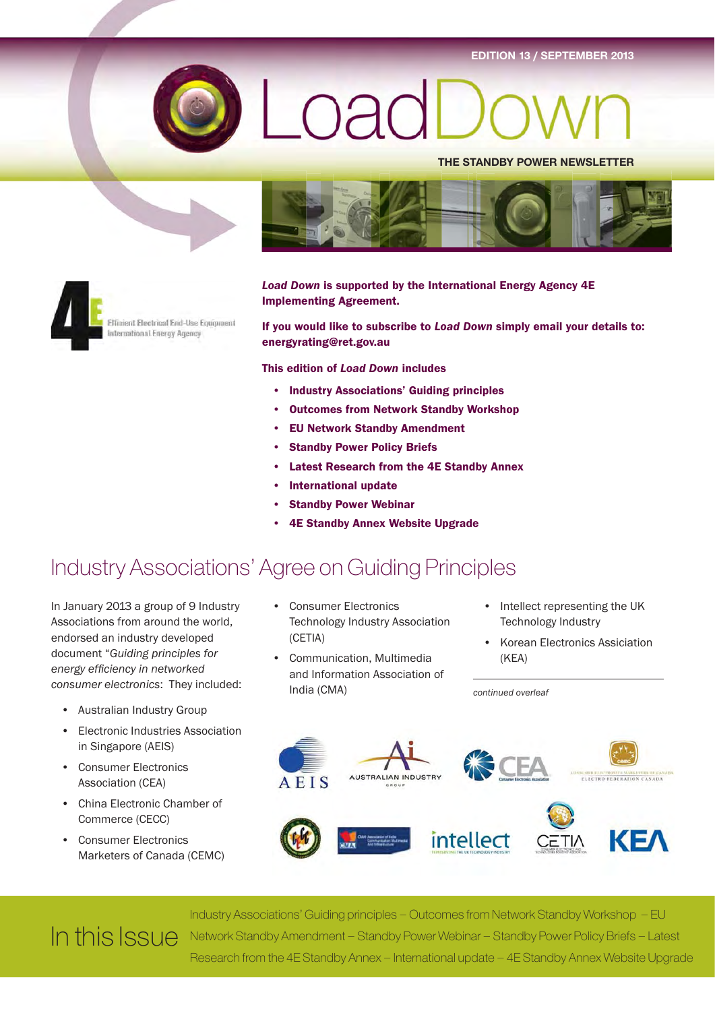EDITION 13 / SEPTEMBER 2013



# nad

THE STANDBY POWER NEWSLETTER





Effisient Electrical End-Use Equipment International Energy Agency

Load Down is supported by the International Energy Agency 4E Implementing Agreement.

If you would like to subscribe to Load Down simply email your details to: energyrating@ret.gov.au

This edition of Load Down includes

- Industry Associations' Guiding principles
- Outcomes from Network Standby Workshop
- **EU Network Standby Amendment**
- **Standby Power Policy Briefs**
- Latest Research from the 4E Standby Annex
- International update
- **Standby Power Webinar**
- 4E Standby Annex Website Upgrade

### Industry Associations' Agree on Guiding Principles

In January 2013 a group of 9 Industry Associations from around the world, endorsed an industry developed document "Guiding principles for energy efficiency in networked consumer electronics: They included:

- Australian Industry Group
- Electronic Industries Association in Singapore (AEIS)
- Consumer Electronics Association (CEA)
- China Electronic Chamber of Commerce (CECC)
- Consumer Electronics Marketers of Canada (CEMC)
- Consumer Electronics Technology Industry Association (CETIA)
- Communication, Multimedia and Information Association of India (CMA)
- Intellect representing the UK Technology Industry
- Korean Electronics Assiciation (KEA)

KEA

**UMER ELECTRONICS MARKETERS OF CAN**<br>ELECTRO-FEDERATION CANADA AUSTRALIAN INDUSTRY **AEIS** 

intellect

continued overleaf

Industry Associations' Guiding principles – Outcomes from Network Standby Workshop – EU Network Standby Amendment – Standby Power Webinar – Standby Power Policy Briefs – Latest Research from the 4E Standby Annex – International update – 4E Standby Annex Website Upgrade In this Issue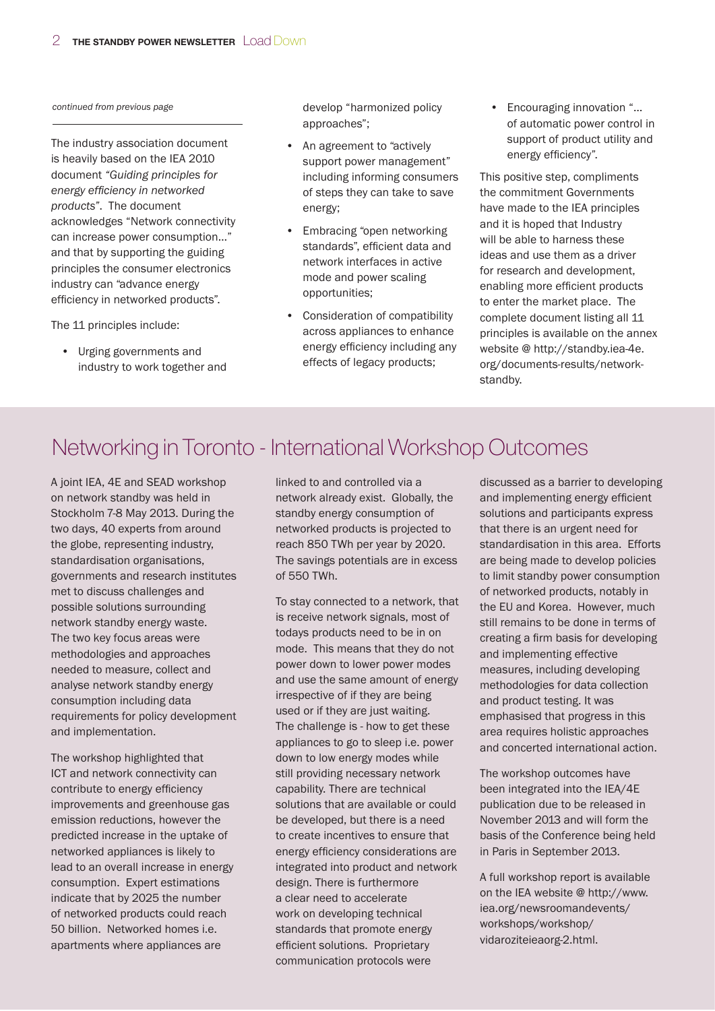continued from previous page

The industry association document is heavily based on the IEA 2010 document "Guiding principles for energy efficiency in networked products". The document acknowledges "Network connectivity can increase power consumption…" and that by supporting the guiding principles the consumer electronics industry can "advance energy efficiency in networked products".

The 11 principles include:

• Urging governments and industry to work together and develop "harmonized policy approaches";

- An agreement to "actively support power management" including informing consumers of steps they can take to save energy;
- Embracing "open networking standards", efficient data and network interfaces in active mode and power scaling opportunities;
- Consideration of compatibility across appliances to enhance energy efficiency including any effects of legacy products;

• Encouraging innovation "… of automatic power control in support of product utility and energy efficiency".

This positive step, compliments the commitment Governments have made to the IEA principles and it is hoped that Industry will be able to harness these ideas and use them as a driver for research and development, enabling more efficient products to enter the market place. The complete document listing all 11 principles is available on the annex website @ http://standby.iea-4e. org/documents-results/networkstandby.

### Networking in Toronto - International Workshop Outcomes

A joint IEA, 4E and SEAD workshop on network standby was held in Stockholm 7-8 May 2013. During the two days, 40 experts from around the globe, representing industry, standardisation organisations, governments and research institutes met to discuss challenges and possible solutions surrounding network standby energy waste. The two key focus areas were methodologies and approaches needed to measure, collect and analyse network standby energy consumption including data requirements for policy development and implementation.

The workshop highlighted that ICT and network connectivity can contribute to energy efficiency improvements and greenhouse gas emission reductions, however the predicted increase in the uptake of networked appliances is likely to lead to an overall increase in energy consumption. Expert estimations indicate that by 2025 the number of networked products could reach 50 billion. Networked homes i.e. apartments where appliances are

linked to and controlled via a network already exist. Globally, the standby energy consumption of networked products is projected to reach 850 TWh per year by 2020. The savings potentials are in excess of 550 TWh.

To stay connected to a network, that is receive network signals, most of todays products need to be in on mode. This means that they do not power down to lower power modes and use the same amount of energy irrespective of if they are being used or if they are just waiting. The challenge is - how to get these appliances to go to sleep i.e. power down to low energy modes while still providing necessary network capability. There are technical solutions that are available or could be developed, but there is a need to create incentives to ensure that energy efficiency considerations are integrated into product and network design. There is furthermore a clear need to accelerate work on developing technical standards that promote energy efficient solutions. Proprietary communication protocols were

discussed as a barrier to developing and implementing energy efficient solutions and participants express that there is an urgent need for standardisation in this area. Efforts are being made to develop policies to limit standby power consumption of networked products, notably in the EU and Korea. However, much still remains to be done in terms of creating a firm basis for developing and implementing effective measures, including developing methodologies for data collection and product testing. It was emphasised that progress in this area requires holistic approaches and concerted international action.

The workshop outcomes have been integrated into the IEA/4E publication due to be released in November 2013 and will form the basis of the Conference being held in Paris in September 2013.

A full workshop report is available on the IEA website @ http://www. iea.org/newsroomandevents/ workshops/workshop/ vidaroziteieaorg-2.html.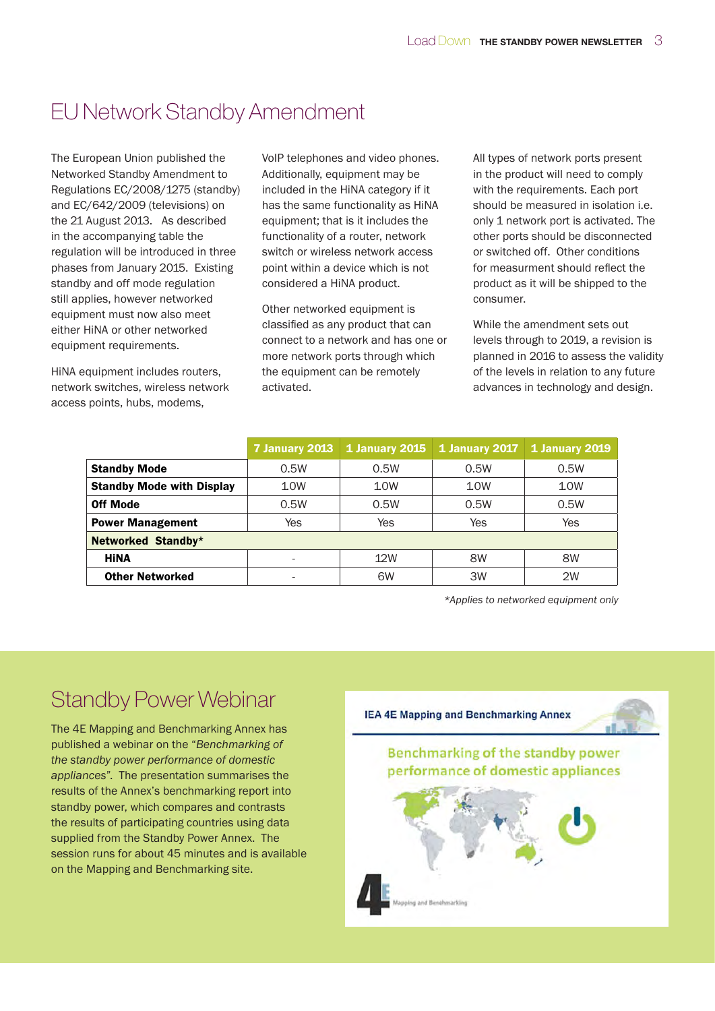### EU Network Standby Amendment

The European Union published the Networked Standby Amendment to Regulations EC/2008/1275 (standby) and EC/642/2009 (televisions) on the 21 August 2013. As described in the accompanying table the regulation will be introduced in three phases from January 2015. Existing standby and off mode regulation still applies, however networked equipment must now also meet either HiNA or other networked equipment requirements.

HiNA equipment includes routers, network switches, wireless network access points, hubs, modems,

VoIP telephones and video phones. Additionally, equipment may be included in the HiNA category if it has the same functionality as HiNA equipment; that is it includes the functionality of a router, network switch or wireless network access point within a device which is not considered a HiNA product.

Other networked equipment is classified as any product that can connect to a network and has one or more network ports through which the equipment can be remotely activated.

All types of network ports present in the product will need to comply with the requirements. Each port should be measured in isolation i.e. only 1 network port is activated. The other ports should be disconnected or switched off. Other conditions for measurment should reflect the product as it will be shipped to the consumer.

While the amendment sets out levels through to 2019, a revision is planned in 2016 to assess the validity of the levels in relation to any future advances in technology and design.

|                                  | 7 January 2013 | 1 January 2015 | 1 January 2017 | <b>1 January 2019</b> |
|----------------------------------|----------------|----------------|----------------|-----------------------|
| <b>Standby Mode</b>              | 0.5W           | 0.5W           | 0.5W           | 0.5W                  |
| <b>Standby Mode with Display</b> | 10W            | 10W            | 10W            | 10W                   |
| <b>Off Mode</b>                  | 0.5W           | 0.5W           | 0.5W           | 0.5W                  |
| <b>Power Management</b>          | Yes            | Yes            | Yes            | Yes                   |
| Networked Standby*               |                |                |                |                       |
| <b>HINA</b>                      |                | 12W            | 8W             | 8W                    |
| <b>Other Networked</b>           |                | 6W             | 3W             | 2W                    |

\*Applies to networked equipment only

### Standby Power Webinar

The 4E Mapping and Benchmarking Annex has published a webinar on the "Benchmarking of the standby power performance of domestic appliances". The presentation summarises the results of the Annex's benchmarking report into standby power, which compares and contrasts the results of participating countries using data supplied from the Standby Power Annex. The session runs for about 45 minutes and is available on the Mapping and Benchmarking site.

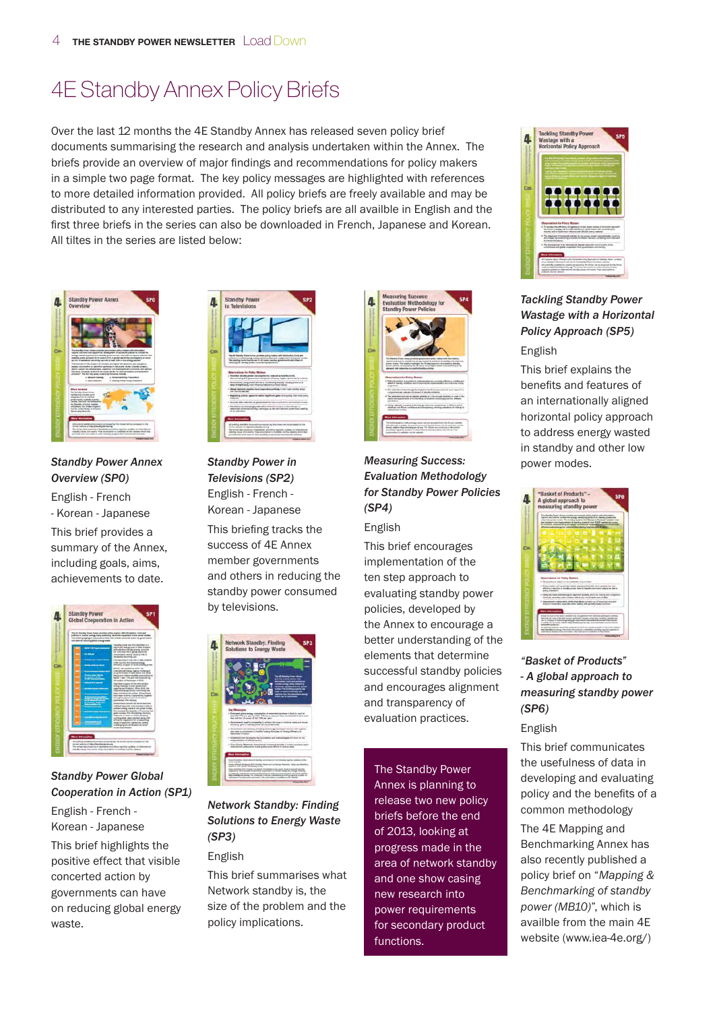### 4E Standby Annex Policy Briefs

Over the last 12 months the 4E Standby Annex has released seven policy brief documents summarising the research and analysis undertaken within the Annex. The briefs provide an overview of major findings and recommendations for policy makers in a simple two page format. The key policy messages are highlighted with references to more detailed information provided. All policy briefs are freely available and may be distributed to any interested parties. The policy briefs are all availble in English and the first three briefs in the series can also be downloaded in French, Japanese and Korean. All tiltes in the series are listed below:



Standby Power Annex Overview (SP0) English - French - Korean - Japanese This brief provides a

summary of the Annex, including goals, aims, achievements to date.



#### Standby Power Global Cooperation in Action (SP1)

English - French - Korean - Japanese This brief highlights the positive effect that visible concerted action by governments can have on reducing global energy waste.



Standby Power in Televisions (SP2) English - French - Korean - Japanese This briefing tracks the success of 4E Annex member governments and others in reducing the standby power consumed by televisions.



Network Standby: Finding Solutions to Energy Waste (SP3)

#### English

This brief summarises what Network standby is, the size of the problem and the policy implications.



#### Measuring Success: Evaluation Methodology for Standby Power Policies (SP4)

#### English

This brief encourages implementation of the ten step approach to evaluating standby power policies, developed by the Annex to encourage a better understanding of the elements that determine successful standby policies and encourages alignment and transparency of evaluation practices.

The Standby Power Annex is planning to release two new policy briefs before the end of 2013, looking at progress made in the area of network standby and one show casing new research into power requirements for secondary product functions.



#### Tackling Standby Power Wastage with a Horizontal Policy Approach (SP5) English

This brief explains the benefits and features of an internationally aligned horizontal policy approach to address energy wasted in standby and other low power modes.



#### "Basket of Products" - A global approach to measuring standby power (SP6)

#### English

This brief communicates the usefulness of data in developing and evaluating policy and the benefits of a common methodology

The 4E Mapping and Benchmarking Annex has also recently published a policy brief on "Mapping & Benchmarking of standby power (MB10)", which is availble from the main 4E website (www.iea-4e.org/)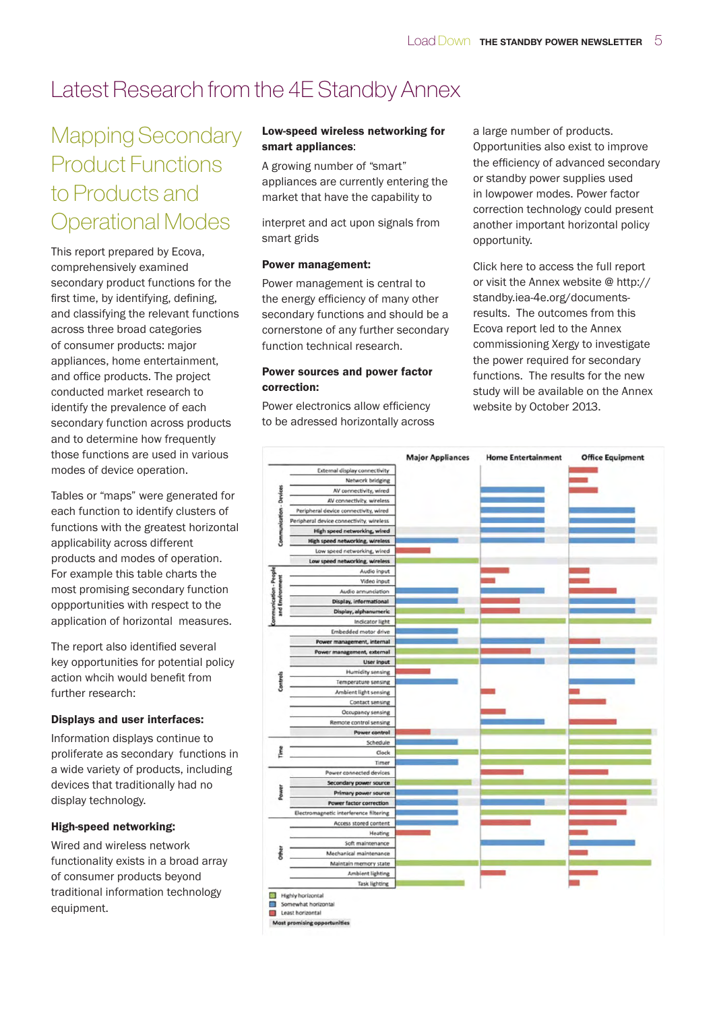### Latest Research from the 4E Standby Annex

### Mapping Secondary Product Functions to Products and Operational Modes

This report prepared by Ecova, comprehensively examined secondary product functions for the first time, by identifying, defining, and classifying the relevant functions across three broad categories of consumer products: major appliances, home entertainment, and office products. The project conducted market research to identify the prevalence of each secondary function across products and to determine how frequently those functions are used in various modes of device operation.

Tables or "maps" were generated for each function to identify clusters of functions with the greatest horizontal applicability across different products and modes of operation. For example this table charts the most promising secondary function oppportunities with respect to the application of horizontal measures.

The report also identified several key opportunities for potential policy action whcih would benefit from further research:

#### Displays and user interfaces:

Information displays continue to proliferate as secondary functions in a wide variety of products, including devices that traditionally had no display technology.

#### High-speed networking:

Wired and wireless network functionality exists in a broad array of consumer products beyond traditional information technology equipment.

#### Low-speed wireless networking for smart appliances:

A growing number of "smart" appliances are currently entering the market that have the capability to

interpret and act upon signals from smart grids

#### Power management:

Power management is central to the energy efficiency of many other secondary functions and should be a cornerstone of any further secondary function technical research.

#### Power sources and power factor correction:

Power electronics allow efficiency to be adressed horizontally across a large number of products. Opportunities also exist to improve the efficiency of advanced secondary or standby power supplies used in lowpower modes. Power factor correction technology could present another important horizontal policy opportunity.

Click here to access the full report or visit the Annex website @ http:// standby.iea-4e.org/documentsresults. The outcomes from this Ecova report led to the Annex commissioning Xergy to investigate the power required for secondary functions. The results for the new study will be available on the Annex website by October 2013.



Least horizontal

Most promising opp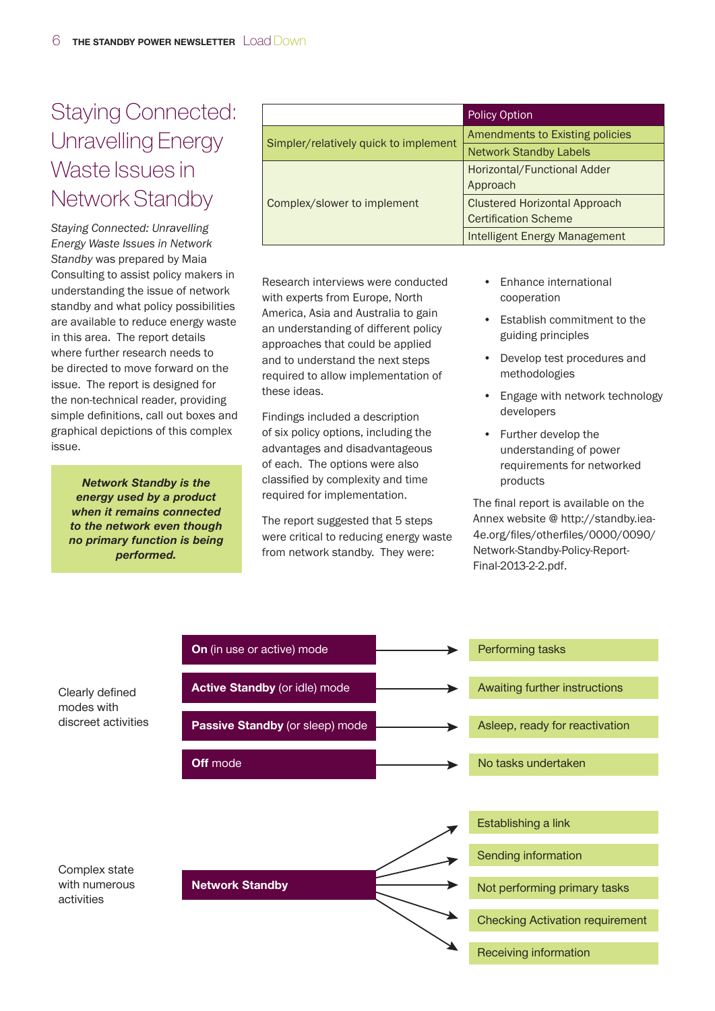### Staying Connected: Unravelling Energy Waste Issues in Network Standby

Staying Connected: Unravelling Energy Waste Issues in Network Standby was prepared by Maia Consulting to assist policy makers in understanding the issue of network standby and what policy possibilities are available to reduce energy waste in this area. The report details where further research needs to be directed to move forward on the issue. The report is designed for the non-technical reader, providing simple definitions, call out boxes and graphical depictions of this complex issue.

Network Standby is the energy used by a product when it remains connected to the network even though no primary function is being performed.

|                                       | <b>Policy Option</b>                 |  |
|---------------------------------------|--------------------------------------|--|
| Simpler/relatively quick to implement | Amendments to Existing policies      |  |
|                                       | <b>Network Standby Labels</b>        |  |
|                                       | Horizontal/Functional Adder          |  |
|                                       | Approach                             |  |
| Complex/slower to implement           | <b>Clustered Horizontal Approach</b> |  |
|                                       | <b>Certification Scheme</b>          |  |
|                                       | <b>Intelligent Energy Management</b> |  |

Research interviews were conducted with experts from Europe, North America, Asia and Australia to gain an understanding of different policy approaches that could be applied and to understand the next steps required to allow implementation of these ideas.

Findings included a description of six policy options, including the advantages and disadvantageous of each. The options were also classified by complexity and time required for implementation.

The report suggested that 5 steps were critical to reducing energy waste from network standby. They were:

- Enhance international cooperation
- Establish commitment to the guiding principles
- Develop test procedures and methodologies
- Engage with network technology developers
- Further develop the understanding of power requirements for networked products

The final report is available on the Annex website @ http://standby.iea-4e.org/files/otherfiles/0000/0090/ Network-Standby-Policy-Report-Final-2013-2-2.pdf.

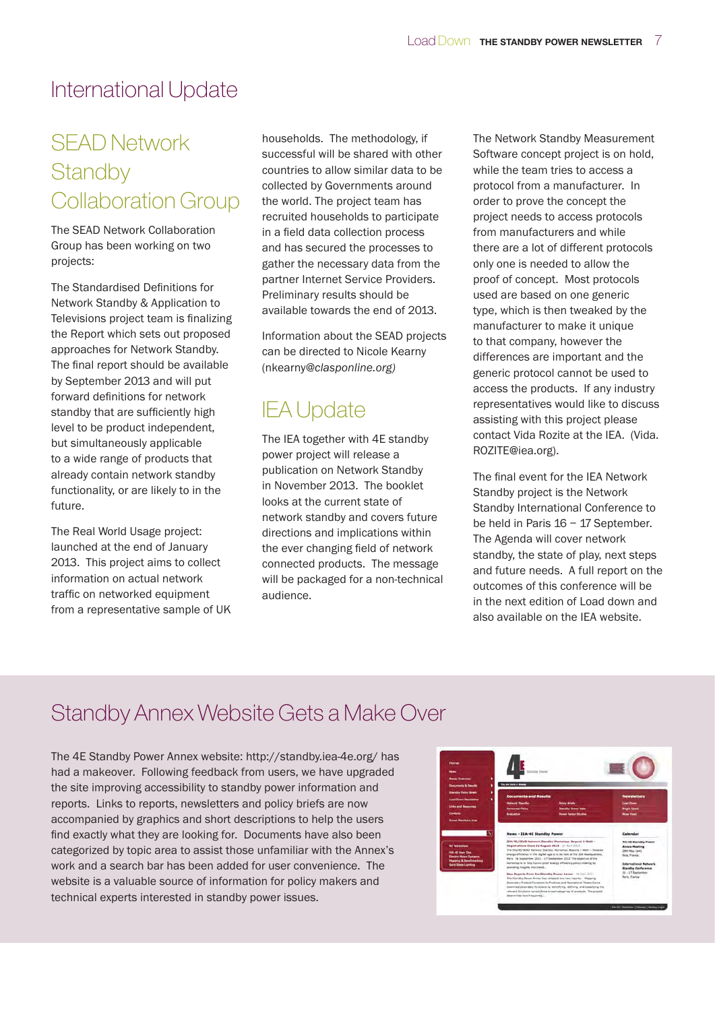### International Update

### SEAD Network **Standby** Collaboration Group

The SEAD Network Collaboration Group has been working on two projects:

The Standardised Definitions for Network Standby & Application to Televisions project team is finalizing the Report which sets out proposed approaches for Network Standby. The final report should be available by September 2013 and will put forward definitions for network standby that are sufficiently high level to be product independent, but simultaneously applicable to a wide range of products that already contain network standby functionality, or are likely to in the future.

The Real World Usage project: launched at the end of January 2013. This project aims to collect information on actual network traffic on networked equipment from a representative sample of UK households. The methodology, if successful will be shared with other countries to allow similar data to be collected by Governments around the world. The project team has recruited households to participate in a field data collection process and has secured the processes to gather the necessary data from the partner Internet Service Providers. Preliminary results should be available towards the end of 2013.

Information about the SEAD projects can be directed to Nicole Kearny (nkearny@clasponline.org)

### IEA Update

The IEA together with 4E standby power project will release a publication on Network Standby in November 2013. The booklet looks at the current state of network standby and covers future directions and implications within the ever changing field of network connected products. The message will be packaged for a non-technical audience.

The Network Standby Measurement Software concept project is on hold, while the team tries to access a protocol from a manufacturer. In order to prove the concept the project needs to access protocols from manufacturers and while there are a lot of different protocols only one is needed to allow the proof of concept. Most protocols used are based on one generic type, which is then tweaked by the manufacturer to make it unique to that company, however the differences are important and the generic protocol cannot be used to access the products. If any industry representatives would like to discuss assisting with this project please contact Vida Rozite at the IEA. (Vida. ROZITE@iea.org).

The final event for the IEA Network Standby project is the Network Standby International Conference to be held in Paris 16 – 17 September. The Agenda will cover network standby, the state of play, next steps and future needs. A full report on the outcomes of this conference will be in the next edition of Load down and also available on the IEA website.

### Standby Annex Website Gets a Make Over

The 4E Standby Power Annex website: http://standby.iea-4e.org/ has had a makeover. Following feedback from users, we have upgraded the site improving accessibility to standby power information and reports. Links to reports, newsletters and policy briefs are now accompanied by graphics and short descriptions to help the users find exactly what they are looking for. Documents have also been categorized by topic area to assist those unfamiliar with the Annex's work and a search bar has been added for user convenience. The website is a valuable source of information for policy makers and technical experts interested in standby power issues.